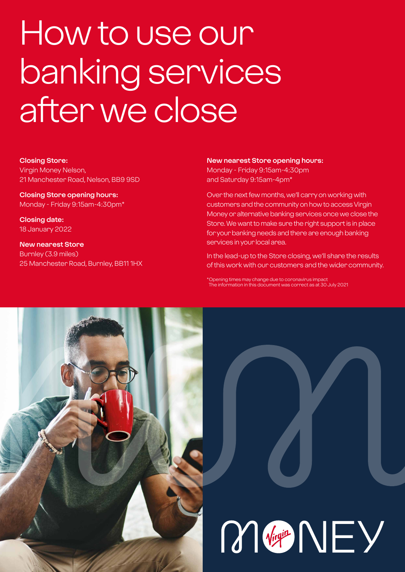# How to use our banking services after we close

#### **Closing Store:**

Virgin Money Nelson, 21 Manchester Road, Nelson, BB9 9SD

**Closing Store opening hours:**  Monday - Friday 9:15am-4:30pm\*

**Closing date:**  18 January 2022

**New nearest Store** Burnley (3.9 miles) 25 Manchester Road, Burnley, BB11 1HX

#### **New nearest Store opening hours:**

Monday - Friday 9:15am-4:30pm and Saturday 9:15am-4pm\*

Over the next few months, we'll carry on working with customers and the community on how to access Virgin Money or alternative banking services once we close the Store. We want to make sure the right support is in place for your banking needs and there are enough banking services in your local area.

In the lead-up to the Store closing, we'll share the results of this work with our customers and the wider community.

\*Opening times may change due to coronavirus impact The information in this document was correct as at 30 July 2021

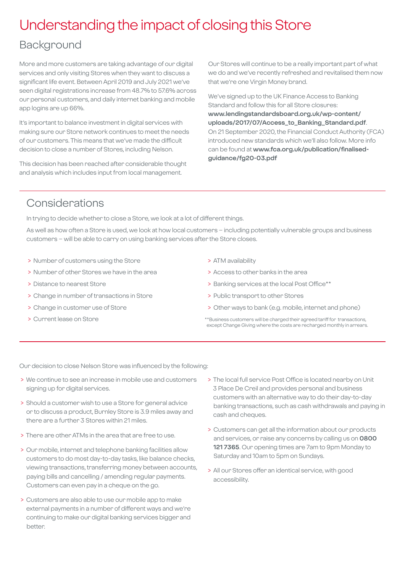## Understanding the impact of closing this Store

### Background

More and more customers are taking advantage of our digital services and only visiting Stores when they want to discuss a significant life event. Between April 2019 and July 2021 we've seen digital registrations increase from 48.7% to 57.6% across our personal customers, and daily internet banking and mobile app logins are up 66%.

It's important to balance investment in digital services with making sure our Store network continues to meet the needs of our customers. This means that we've made the difficult decision to close a number of Stores, including Nelson.

This decision has been reached after considerable thought and analysis which includes input from local management.

Our Stores will continue to be a really important part of what we do and we've recently refreshed and revitalised them now that we're one Virgin Money brand.

We've signed up to the UK Finance Access to Banking Standard and follow this for all Store closures: **[www.lendingstandardsboard.org.uk/wp-content/](http://www.lendingstandardsboard.org.uk/wp-content/uploads/2017/07/Access_to_Banking_Standard.pdf) [uploads/2017/07/Access\\_to\\_Banking\\_Standard.pdf](http://www.lendingstandardsboard.org.uk/wp-content/uploads/2017/07/Access_to_Banking_Standard.pdf)**. On 21 September 2020, the Financial Conduct Authority (FCA) introduced new standards which we'll also follow. More info can be found at **[www.fca.org.uk/publication/finalised](http://www.fca.org.uk/publication/finalised-guidance/fg20-03.pdf)[guidance/fg20-03.pdf](http://www.fca.org.uk/publication/finalised-guidance/fg20-03.pdf)**

## Considerations

In trying to decide whether to close a Store, we look at a lot of different things.

As well as how often a Store is used, we look at how local customers – including potentially vulnerable groups and business customers – will be able to carry on using banking services after the Store closes.

- > Number of customers using the Store
- > Number of other Stores we have in the area
- > Distance to nearest Store
- > Change in number of transactions in Store
- > Change in customer use of Store
- > Current lease on Store
- > ATM availability
- > Access to other banks in the area
- > Banking services at the local Post Office\*\*
- > Public transport to other Stores
- > Other ways to bank (e.g. mobile, internet and phone)
- \*\*Business customers will be charged their agreed tariff for transactions, except Change Giving where the costs are recharged monthly in arrears.

Our decision to close Nelson Store was influenced by the following:

- > We continue to see an increase in mobile use and customers signing up for digital services.
- > Should a customer wish to use a Store for general advice or to discuss a product, Burnley Store is 3.9 miles away and there are a further 3 Stores within 21 miles.
- > There are other ATMs in the area that are free to use.
- > Our mobile, internet and telephone banking facilities allow customers to do most day-to-day tasks, like balance checks, viewing transactions, transferring money between accounts, paying bills and cancelling / amending regular payments. Customers can even pay in a cheque on the go.
- > Customers are also able to use our mobile app to make external payments in a number of different ways and we're continuing to make our digital banking services bigger and better.
- > The local full service Post Office is located nearby on Unit 3 Place De Creil and provides personal and business customers with an alternative way to do their day-to-day banking transactions, such as cash withdrawals and paying in cash and cheques.
- > Customers can get all the information about our products and services, or raise any concerns by calling us on **0800 121 7365**. Our opening times are 7am to 9pm Monday to Saturday and 10am to 5pm on Sundays.
- > All our Stores offer an identical service, with good accessibility.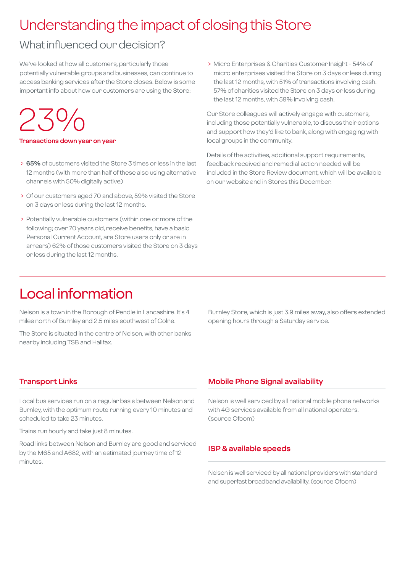## Understanding the impact of closing this Store

## What influenced our decision?

We've looked at how all customers, particularly those potentially vulnerable groups and businesses, can continue to access banking services after the Store closes. Below is some important info about how our customers are using the Store:

## 23%

#### **Transactions down year on year**

- > **65%** of customers visited the Store 3 times or less in the last 12 months (with more than half of these also using alternative channels with 50% digitally active)
- > Of our customers aged 70 and above, 59% visited the Store on 3 days or less during the last 12 months.
- > Potentially vulnerable customers (within one or more of the following; over 70 years old, receive benefits, have a basic Personal Current Account, are Store users only or are in arrears) 62% of those customers visited the Store on 3 days or less during the last 12 months.

 > Micro Enterprises & Charities Customer Insight - 54% of micro enterprises visited the Store on 3 days or less during the last 12 months, with 51% of transactions involving cash. 57% of charities visited the Store on 3 days or less during the last 12 months, with 59% involving cash.

Our Store colleagues will actively engage with customers, including those potentially vulnerable, to discuss their options and support how they'd like to bank, along with engaging with local groups in the community.

Details of the activities, additional support requirements, feedback received and remedial action needed will be included in the Store Review document, which will be available on our website and in Stores this December.

## Local information

Nelson is a town in the Borough of Pendle in Lancashire. It's 4 miles north of Burnley and 2.5 miles southwest of Colne.

The Store is situated in the centre of Nelson, with other banks nearby including TSB and Halifax.

Burnley Store, which is just 3.9 miles away, also offers extended opening hours through a Saturday service.

#### **Transport Links**

Local bus services run on a regular basis between Nelson and Burnley, with the optimum route running every 10 minutes and scheduled to take 23 minutes.

Trains run hourly and take just 8 minutes.

Road links between Nelson and Burnley are good and serviced by the M65 and A682, with an estimated journey time of 12 minutes.

#### **Mobile Phone Signal availability**

Nelson is well serviced by all national mobile phone networks with 4G services available from all national operators. (source Ofcom)

#### **ISP & available speeds**

Nelson is well serviced by all national providers with standard and superfast broadband availability. (source Ofcom)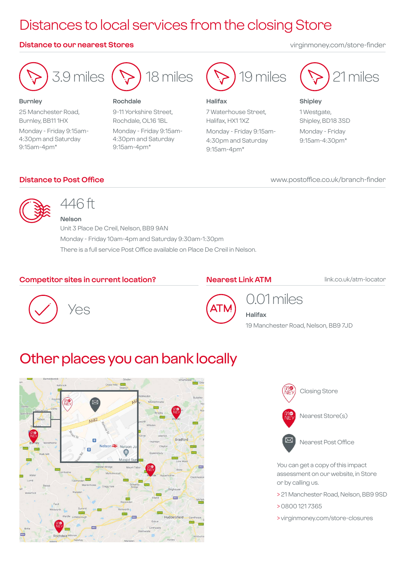## Distances to local services from the closing Store

#### **Distance to our nearest Stores** virginmoney.com/store-finder



**Burnley** 25 Manchester Road, Burnley, BB11 1HX Monday - Friday 9:15am-4:30pm and Saturday 9:15am-4pm\*



#### **Rochdale**

9-11 Yorkshire Street, Rochdale, OL16 1BL Monday - Friday 9:15am-4:30pm and Saturday 9:15am-4pm\*



#### **Halifax**

9:15am-4pm\*

7 Waterhouse Street, Halifax, HX1 1XZ Monday - Friday 9:15am-4:30pm and Saturday

21 miles

**Shipley** 1 Westgate, Shipley, BD18 3SD Monday - Friday 9:15am-4:30pm\*

#### **Distance to Post Office**

#### www.postoffice.co.uk/branch-finder



## 446 ft

**Nelson** Unit 3 Place De Creil, Nelson, BB9 9AN Monday - Friday 10am-4pm and Saturday 9:30am-1:30pm There is a full service Post Office available on Place De Creil in Nelson.

#### **Competitor sites in current location?**

#### **Nearest Link ATM**

link.co.uk/atm-locator





## 0.01 miles

**Halifax** 19 Manchester Road, Nelson, BB9 7JD

## Other places you can bank locally





Nearest Post Office

You can get a copy of this impact assessment on our website, in Store or by calling us.

- > 21 Manchester Road, Nelson, BB9 9SD
- > 0800 121 7365
- > virginmoney.com/store-closures